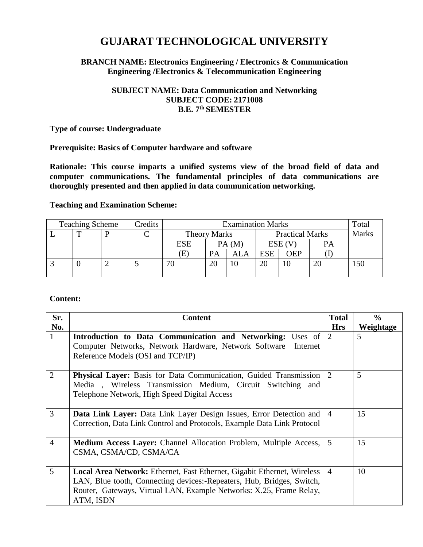# **GUJARAT TECHNOLOGICAL UNIVERSITY**

## **BRANCH NAME: Electronics Engineering / Electronics & Communication Engineering /Electronics & Telecommunication Engineering**

## **SUBJECT NAME: Data Communication and Networking SUBJECT CODE: 2171008 B.E. 7 th SEMESTER**

**Type of course: Undergraduate**

## **Prerequisite: Basics of Computer hardware and software**

**Rationale: This course imparts a unified systems view of the broad field of data and computer communications. The fundamental principles of data communications are thoroughly presented and then applied in data communication networking.**

## **Teaching and Examination Scheme:**

| <b>Teaching Scheme</b> |  | Credits | <b>Examination Marks</b> |                     |  |                        | Total      |            |              |     |
|------------------------|--|---------|--------------------------|---------------------|--|------------------------|------------|------------|--------------|-----|
|                        |  |         |                          | <b>Theory Marks</b> |  | <b>Practical Marks</b> |            |            | <b>Marks</b> |     |
|                        |  |         |                          | <b>ESE</b>          |  | PA(M)                  | ESE        |            | PA           |     |
|                        |  |         |                          | Έ                   |  | ALA                    | <b>ESE</b> | <b>OEP</b> |              |     |
|                        |  |         |                          |                     |  | 10                     | 20         |            | 20           | 150 |
|                        |  |         |                          |                     |  |                        |            |            |              |     |

## **Content:**

| Sr.            | <b>Content</b>                                                           | <b>Total</b>   | $\frac{0}{0}$ |
|----------------|--------------------------------------------------------------------------|----------------|---------------|
| No.            |                                                                          | <b>Hrs</b>     | Weightage     |
| 1              | Introduction to Data Communication and Networking: Uses of 2             |                | 5             |
|                | Computer Networks, Network Hardware, Network Software<br>Internet        |                |               |
|                | Reference Models (OSI and TCP/IP)                                        |                |               |
|                |                                                                          |                |               |
| $\overline{2}$ | <b>Physical Layer:</b> Basis for Data Communication, Guided Transmission | $\overline{2}$ | 5             |
|                | Media, Wireless Transmission Medium, Circuit Switching and               |                |               |
|                | Telephone Network, High Speed Digital Access                             |                |               |
|                |                                                                          |                |               |
| 3              | Data Link Layer: Data Link Layer Design Issues, Error Detection and      | $\overline{4}$ | 15            |
|                | Correction, Data Link Control and Protocols, Example Data Link Protocol  |                |               |
|                |                                                                          |                |               |
| $\overline{4}$ | <b>Medium Access Layer:</b> Channel Allocation Problem, Multiple Access, | 5              | 15            |
|                | CSMA, CSMA/CD, CSMA/CA                                                   |                |               |
|                |                                                                          |                |               |
| 5              | Local Area Network: Ethernet, Fast Ethernet, Gigabit Ethernet, Wireless  | $\overline{4}$ | 10            |
|                | LAN, Blue tooth, Connecting devices:-Repeaters, Hub, Bridges, Switch,    |                |               |
|                | Router, Gateways, Virtual LAN, Example Networks: X.25, Frame Relay,      |                |               |
|                | ATM, ISDN                                                                |                |               |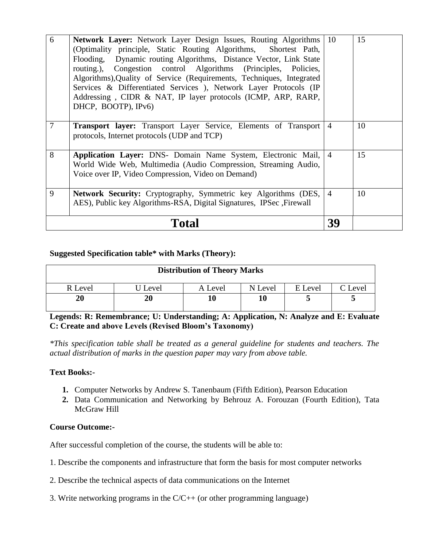| 6              | Network Layer: Network Layer Design Issues, Routing Algorithms<br>(Optimality principle, Static Routing Algorithms, Shortest Path,<br>Flooding, Dynamic routing Algorithms, Distance Vector, Link State<br>routing.), Congestion control Algorithms (Principles, Policies,<br>Algorithms), Quality of Service (Requirements, Techniques, Integrated<br>Services & Differentiated Services ), Network Layer Protocols (IP<br>Addressing, CIDR & NAT, IP layer protocols (ICMP, ARP, RARP,<br>DHCP, BOOTP), IPv6) | -10            | 15 |
|----------------|-----------------------------------------------------------------------------------------------------------------------------------------------------------------------------------------------------------------------------------------------------------------------------------------------------------------------------------------------------------------------------------------------------------------------------------------------------------------------------------------------------------------|----------------|----|
| $\overline{7}$ | <b>Transport layer:</b> Transport Layer Service, Elements of Transport<br>protocols, Internet protocols (UDP and TCP)                                                                                                                                                                                                                                                                                                                                                                                           | $\overline{4}$ | 10 |
| 8              | Application Layer: DNS- Domain Name System, Electronic Mail,<br>World Wide Web, Multimedia (Audio Compression, Streaming Audio,<br>Voice over IP, Video Compression, Video on Demand)                                                                                                                                                                                                                                                                                                                           | $\overline{4}$ | 15 |
| 9              | Network Security: Cryptography, Symmetric key Algorithms (DES,<br>AES), Public key Algorithms-RSA, Digital Signatures, IPSec, Firewall                                                                                                                                                                                                                                                                                                                                                                          | $\overline{4}$ | 10 |
|                | Total                                                                                                                                                                                                                                                                                                                                                                                                                                                                                                           | 39             |    |

# **Suggested Specification table\* with Marks (Theory):**

| <b>Distribution of Theory Marks</b> |         |         |         |         |         |  |  |
|-------------------------------------|---------|---------|---------|---------|---------|--|--|
| R Level                             | J Level | A Level | N Level | E Level | C Level |  |  |
| 20                                  | 20      |         |         |         |         |  |  |

**Legends: R: Remembrance; U: Understanding; A: Application, N: Analyze and E: Evaluate C: Create and above Levels (Revised Bloom's Taxonomy)**

*\*This specification table shall be treated as a general guideline for students and teachers. The actual distribution of marks in the question paper may vary from above table.*

## **Text Books:-**

- **1.** Computer Networks by Andrew S. Tanenbaum (Fifth Edition), Pearson Education
- **2.** Data Communication and Networking by Behrouz A. Forouzan (Fourth Edition), Tata McGraw Hill

## **Course Outcome:-**

After successful completion of the course, the students will be able to:

- 1. Describe the components and infrastructure that form the basis for most computer networks
- 2. Describe the technical aspects of data communications on the Internet
- 3. Write networking programs in the C/C++ (or other programming language)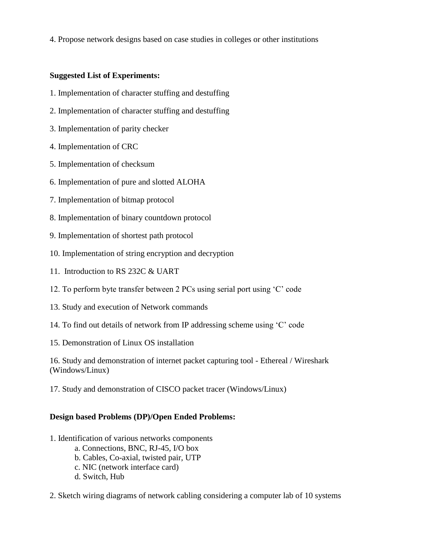4. Propose network designs based on case studies in colleges or other institutions

# **Suggested List of Experiments:**

- 1. Implementation of character stuffing and destuffing
- 2. Implementation of character stuffing and destuffing
- 3. Implementation of parity checker
- 4. Implementation of CRC
- 5. Implementation of checksum
- 6. Implementation of pure and slotted ALOHA
- 7. Implementation of bitmap protocol
- 8. Implementation of binary countdown protocol
- 9. Implementation of shortest path protocol
- 10. Implementation of string encryption and decryption
- 11. Introduction to RS 232C & UART
- 12. To perform byte transfer between 2 PCs using serial port using 'C' code
- 13. Study and execution of Network commands
- 14. To find out details of network from IP addressing scheme using 'C' code
- 15. Demonstration of Linux OS installation

16. Study and demonstration of internet packet capturing tool - Ethereal / Wireshark (Windows/Linux)

17. Study and demonstration of CISCO packet tracer (Windows/Linux)

# **Design based Problems (DP)/Open Ended Problems:**

- 1. Identification of various networks components
	- a. Connections, BNC, RJ-45, I/O box
	- b. Cables, Co-axial, twisted pair, UTP
	- c. NIC (network interface card)
	- d. Switch, Hub
- 2. Sketch wiring diagrams of network cabling considering a computer lab of 10 systems